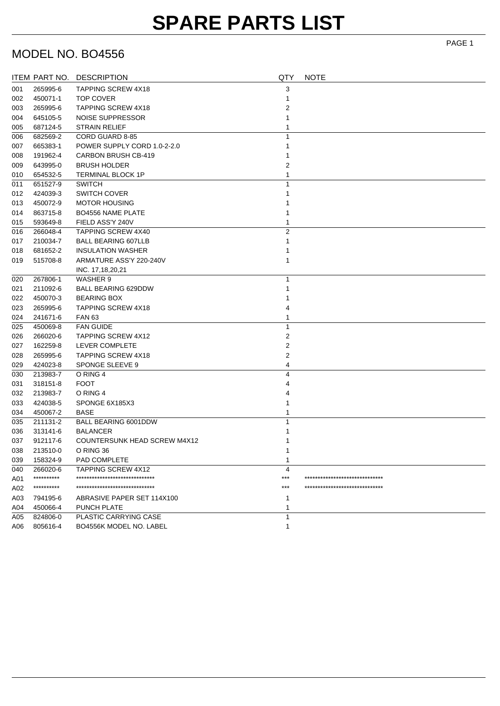## **SPARE PARTS LIST**

## MODEL NO. BO4556

|     |            | ITEM PART NO. DESCRIPTION           | QTY            | <b>NOTE</b>                    |
|-----|------------|-------------------------------------|----------------|--------------------------------|
| 001 | 265995-6   | <b>TAPPING SCREW 4X18</b>           | 3              |                                |
| 002 | 450071-1   | TOP COVER                           |                |                                |
| 003 | 265995-6   | <b>TAPPING SCREW 4X18</b>           | 2              |                                |
| 004 | 645105-5   | NOISE SUPPRESSOR                    |                |                                |
| 005 | 687124-5   | <b>STRAIN RELIEF</b>                |                |                                |
| 006 | 682569-2   | CORD GUARD 8-85                     | 1              |                                |
| 007 | 665383-1   | POWER SUPPLY CORD 1.0-2-2.0         | 1              |                                |
| 008 | 191962-4   | CARBON BRUSH CB-419                 |                |                                |
| 009 | 643995-0   | <b>BRUSH HOLDER</b>                 | 2              |                                |
| 010 | 654532-5   | <b>TERMINAL BLOCK 1P</b>            | 1              |                                |
| 011 | 651527-9   | <b>SWITCH</b>                       | 1              |                                |
| 012 | 424039-3   | <b>SWITCH COVER</b>                 |                |                                |
| 013 | 450072-9   | <b>MOTOR HOUSING</b>                |                |                                |
| 014 | 863715-8   | <b>BO4556 NAME PLATE</b>            |                |                                |
| 015 | 593649-8   | FIELD ASS'Y 240V                    | 1              |                                |
| 016 | 266048-4   | <b>TAPPING SCREW 4X40</b>           | $\overline{2}$ |                                |
| 017 | 210034-7   | <b>BALL BEARING 607LLB</b>          | 1              |                                |
| 018 | 681652-2   | <b>INSULATION WASHER</b>            |                |                                |
| 019 | 515708-8   | ARMATURE ASS'Y 220-240V             | 1              |                                |
|     |            | INC. 17,18,20,21                    |                |                                |
| 020 | 267806-1   | WASHER 9                            | 1              |                                |
| 021 | 211092-6   | BALL BEARING 629DDW                 |                |                                |
| 022 | 450070-3   | <b>BEARING BOX</b>                  |                |                                |
| 023 | 265995-6   | <b>TAPPING SCREW 4X18</b>           | 4              |                                |
| 024 | 241671-6   | <b>FAN 63</b>                       | 1              |                                |
| 025 | 450069-8   | <b>FAN GUIDE</b>                    | $\mathbf{1}$   |                                |
| 026 | 266020-6   | <b>TAPPING SCREW 4X12</b>           | 2              |                                |
| 027 | 162259-8   | LEVER COMPLETE                      | 2              |                                |
| 028 | 265995-6   | <b>TAPPING SCREW 4X18</b>           | 2              |                                |
| 029 | 424023-8   | SPONGE SLEEVE 9                     | 4              |                                |
| 030 | 213983-7   | O RING 4                            | 4              |                                |
| 031 | 318151-8   | <b>FOOT</b>                         | 4              |                                |
| 032 | 213983-7   | O RING 4                            |                |                                |
| 033 | 424038-5   | SPONGE 6X185X3                      |                |                                |
| 034 | 450067-2   | BASE                                |                |                                |
| 035 | 211131-2   | BALL BEARING 6001DDW                | 1              |                                |
| 036 | 313141-6   | <b>BALANCER</b>                     |                |                                |
| 037 | 912117-6   | <b>COUNTERSUNK HEAD SCREW M4X12</b> |                |                                |
| 038 | 213510-0   | O RING 36                           | 1              |                                |
| 039 | 158324-9   | PAD COMPLETE                        | 1              |                                |
| 040 | 266020-6   | <b>TAPPING SCREW 4X12</b>           | 4              |                                |
| A01 | ********** | *******************************     | ***            | ****************************** |
| A02 | ********** | ******************************      | ***            | ****************************   |
| A03 | 794195-6   | ABRASIVE PAPER SET 114X100          | 1              |                                |
| A04 | 450066-4   | PUNCH PLATE                         | 1              |                                |
| A05 | 824806-0   | <b>PLASTIC CARRYING CASE</b>        | 1              |                                |
| A06 | 805616-4   | BO4556K MODEL NO. LABEL             | 1              |                                |